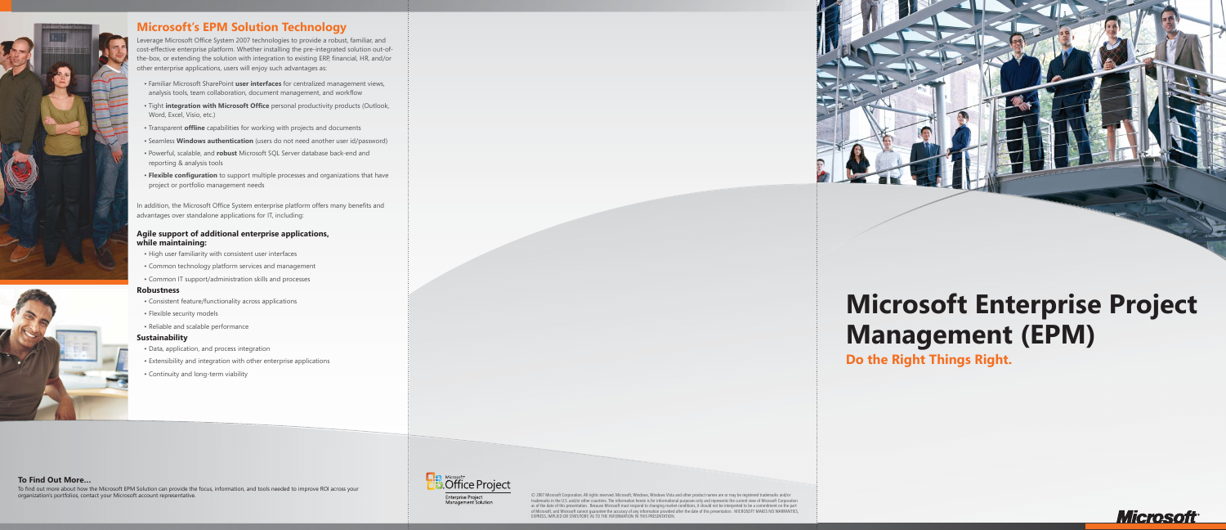



Leverage Microsoft Office System 2007 technologies to provide a robust, familiar, and cost-effective enterprise platform. Whether installing the pre-integrated solution out-ofthe-box, or extending the solution with integration to existing ERP, financial, HR, and/or other enterprise applications, users will enjoy such advantages as:

- Familiar Microsoft SharePoint **user interfaces** for centralized management views, analysis tools, team collaboration, document management, and workflow
- Tight **integration with Microsoft Office** personal productivity products (Outlook, Word, Excel, Visio, etc.)
- Transparent **offline** capabilities for working with projects and documents
- Seamless **Windows authentication** (users do not need another user id/password)
- Powerful, scalable, and **robust** Microsoft SQL Server database back-end and reporting & analysis tools
- **Flexible configuration** to support multiple processes and organizations that have project or portfolio management needs

© 2007 Microsoft Corporation. All rights reserved. Microsoft, Windows, Windows Vista and other product names are or may be registered trademarks and/or trademarks in the U.S. and/or other countries. The information herein is for informational purposes only and represents the current view of Microsoft Corporation as of the date of this presentation. Because Microsoft must respond to changing market conditions, it should not be interpreted to be a commitment on the part of Microsoft, and Microsoft cannot guarantee the accuracy of any information provided after the date of this presentation. MICROSOFT MAKES NO WARRANTIES,<br>EXPRESS, IMPLIED OR STATUTORY, AS TO THE INFORMATION IN THIS PRESENT



In addition, the Microsoft Office System enterprise platform offers many benefits and advantages over standalone applications for IT, including:

## **Agile support of additional enterprise applications, while maintaining:**

- High user familiarity with consistent user interfaces
- Common technology platform services and management
- Common IT support/administration skills and processes

### **Robustness**

- Consistent feature/functionality across applications
- Flexible security models
- Reliable and scalable performance

### **Sustainability**

- Data, application, and process integration
- Extensibility and integration with other enterprise applications
- Continuity and long-term viability

### **To Find Out More…**

To find out more about how the Microsoft EPM Solution can provide the focus, information, and tools needed to improve ROI across your organization's portfolios, contact your Microsoft account representative.



# **Microsoft Enterprise Project Management (EPM)**

**Do the Right Things Right.**